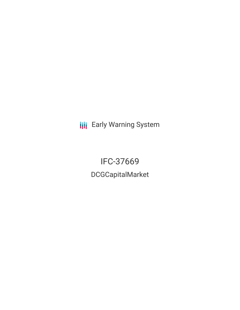**III** Early Warning System

IFC-37669 DCGCapitalMarket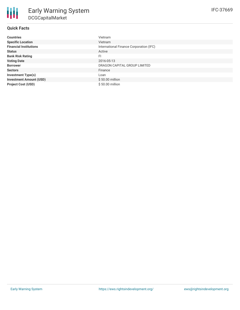# **Quick Facts**

| <b>Countries</b>               | Vietnam                                 |
|--------------------------------|-----------------------------------------|
| <b>Specific Location</b>       | Vietnam                                 |
| <b>Financial Institutions</b>  | International Finance Corporation (IFC) |
| <b>Status</b>                  | Active                                  |
| <b>Bank Risk Rating</b>        | FI                                      |
| <b>Voting Date</b>             | 2016-05-13                              |
| <b>Borrower</b>                | DRAGON CAPITAL GROUP LIMITED            |
| <b>Sectors</b>                 | Finance                                 |
| <b>Investment Type(s)</b>      | Loan                                    |
| <b>Investment Amount (USD)</b> | $$50.00$ million                        |
| <b>Project Cost (USD)</b>      | \$50.00 million                         |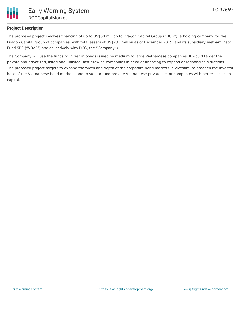

## **Project Description**

The proposed project involves financing of up to US\$50 million to Dragon Capital Group ("DCG"), a holding company for the Dragon Capital group of companies, with total assets of US\$233 million as of December 2015, and its subsidiary Vietnam Debt Fund SPC ("VDeF") and collectively with DCG, the "Company").

The Company will use the funds to invest in bonds issued by medium to large Vietnamese companies. It would target the private and privatized, listed and unlisted, fast growing companies in need of financing to expand or refinancing situations. The proposed project targets to expand the width and depth of the corporate bond markets in Vietnam, to broaden the investor base of the Vietnamese bond markets, and to support and provide Vietnamese private sector companies with better access to capital.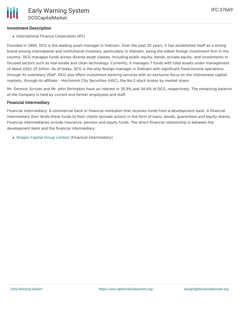## **Investment Description**

• International Finance Corporation (IFC)

Founded in 1994, DCG is the leading asset manager in Vietnam. Over the past 20 years, it has established itself as a strong brand among international and institutional investors, particularly in Vietnam, being the oldest foreign investment firm in the country. DCG manages funds across diverse asset classes, including public equity, bonds, private equity, and investments in focused sectors such as real estate and clean technology. Currently, it manages 7 funds with total assets under management of about US\$1.25 billion. As of today, DCG is the only foreign manager in Vietnam with significant fixed-income operations through its subsidiary VDeF. DCG also offers investment banking services with an exclusive focus on the Vietnamese capital markets, through its affiliate – Hochiminh City Securities (HSC), the No-2 stock broker by market share.

Mr. Dominic Scriven and Mr. John Shrimpton have an interest in 35.9% and 34.6% of DCG, respectively. The remaining balance of the Company is held by current and former employees and staff.

### **Financial Intermediary**

Financial Intermediary: A commercial bank or financial institution that receives funds from a development bank. A financial intermediary then lends these funds to their clients (private actors) in the form of loans, bonds, guarantees and equity shares. Financial intermediaries include insurance, pension and equity funds. The direct financial relationship is between the development bank and the financial intermediary.

Dragon Capital Group [Limited](file:///actor/902/) (Financial Intermediary)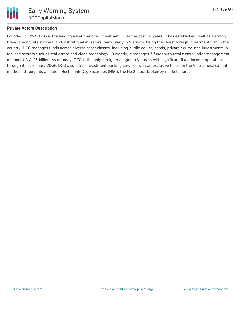

## **Private Actors Description**

Founded in 1994, DCG is the leading asset manager in Vietnam. Over the past 20 years, it has established itself as a strong brand among international and institutional investors, particularly in Vietnam, being the oldest foreign investment firm in the country. DCG manages funds across diverse asset classes, including public equity, bonds, private equity, and investments in focused sectors such as real estate and clean technology. Currently, it manages 7 funds with total assets under management of about US\$1.25 billion. As of today, DCG is the only foreign manager in Vietnam with significant fixed-income operations through its subsidiary VDeF. DCG also offers investment banking services with an exclusive focus on the Vietnamese capital markets, through its affiliate – Hochiminh City Securities (HSC), the No-2 stock broker by market share.